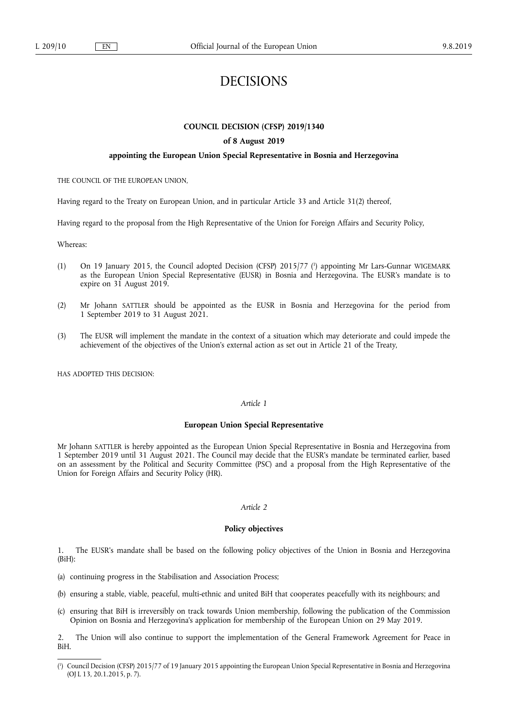# DECISIONS

# **COUNCIL DECISION (CFSP) 2019/1340**

## **of 8 August 2019**

#### **appointing the European Union Special Representative in Bosnia and Herzegovina**

THE COUNCIL OF THE EUROPEAN UNION,

Having regard to the Treaty on European Union, and in particular Article 33 and Article 31(2) thereof,

Having regard to the proposal from the High Representative of the Union for Foreign Affairs and Security Policy,

Whereas:

- (1) On 19 January 2015, the Council adopted Decision (CFSP) 2015/77 ( 1 ) appointing Mr Lars-Gunnar WIGEMARK as the European Union Special Representative (EUSR) in Bosnia and Herzegovina. The EUSR's mandate is to expire on 31 August 2019.
- (2) Mr Johann SATTLER should be appointed as the EUSR in Bosnia and Herzegovina for the period from 1 September 2019 to 31 August 2021.
- (3) The EUSR will implement the mandate in the context of a situation which may deteriorate and could impede the achievement of the objectives of the Union's external action as set out in Article 21 of the Treaty,

HAS ADOPTED THIS DECISION:

#### *Article 1*

#### **European Union Special Representative**

Mr Johann SATTLER is hereby appointed as the European Union Special Representative in Bosnia and Herzegovina from 1 September 2019 until 31 August 2021. The Council may decide that the EUSR's mandate be terminated earlier, based on an assessment by the Political and Security Committee (PSC) and a proposal from the High Representative of the Union for Foreign Affairs and Security Policy (HR).

# *Article 2*

## **Policy objectives**

1. The EUSR's mandate shall be based on the following policy objectives of the Union in Bosnia and Herzegovina (BiH):

- (a) continuing progress in the Stabilisation and Association Process;
- (b) ensuring a stable, viable, peaceful, multi-ethnic and united BiH that cooperates peacefully with its neighbours; and
- (c) ensuring that BiH is irreversibly on track towards Union membership, following the publication of the Commission Opinion on Bosnia and Herzegovina's application for membership of the European Union on 29 May 2019.

2. The Union will also continue to support the implementation of the General Framework Agreement for Peace in BiH.

<sup>(</sup> 1 ) Council Decision (CFSP) 2015/77 of 19 January 2015 appointing the European Union Special Representative in Bosnia and Herzegovina (OJ L 13, 20.1.2015, p. 7).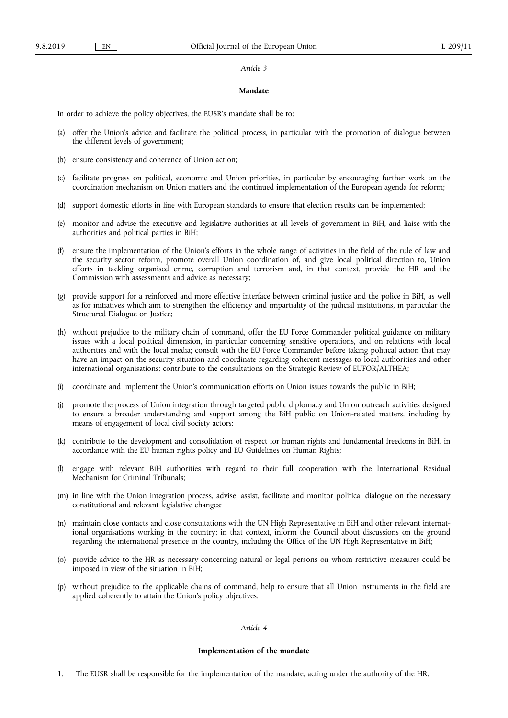#### *Article 3*

## **Mandate**

In order to achieve the policy objectives, the EUSR's mandate shall be to:

- (a) offer the Union's advice and facilitate the political process, in particular with the promotion of dialogue between the different levels of government;
- (b) ensure consistency and coherence of Union action;
- (c) facilitate progress on political, economic and Union priorities, in particular by encouraging further work on the coordination mechanism on Union matters and the continued implementation of the European agenda for reform;
- (d) support domestic efforts in line with European standards to ensure that election results can be implemented;
- (e) monitor and advise the executive and legislative authorities at all levels of government in BiH, and liaise with the authorities and political parties in BiH;
- (f) ensure the implementation of the Union's efforts in the whole range of activities in the field of the rule of law and the security sector reform, promote overall Union coordination of, and give local political direction to, Union efforts in tackling organised crime, corruption and terrorism and, in that context, provide the HR and the Commission with assessments and advice as necessary;
- (g) provide support for a reinforced and more effective interface between criminal justice and the police in BiH, as well as for initiatives which aim to strengthen the efficiency and impartiality of the judicial institutions, in particular the Structured Dialogue on Justice;
- (h) without prejudice to the military chain of command, offer the EU Force Commander political guidance on military issues with a local political dimension, in particular concerning sensitive operations, and on relations with local authorities and with the local media; consult with the EU Force Commander before taking political action that may have an impact on the security situation and coordinate regarding coherent messages to local authorities and other international organisations; contribute to the consultations on the Strategic Review of EUFOR/ALTHEA;
- (i) coordinate and implement the Union's communication efforts on Union issues towards the public in BiH;
- (j) promote the process of Union integration through targeted public diplomacy and Union outreach activities designed to ensure a broader understanding and support among the BiH public on Union-related matters, including by means of engagement of local civil society actors;
- (k) contribute to the development and consolidation of respect for human rights and fundamental freedoms in BiH, in accordance with the EU human rights policy and EU Guidelines on Human Rights;
- (l) engage with relevant BiH authorities with regard to their full cooperation with the International Residual Mechanism for Criminal Tribunals;
- (m) in line with the Union integration process, advise, assist, facilitate and monitor political dialogue on the necessary constitutional and relevant legislative changes;
- (n) maintain close contacts and close consultations with the UN High Representative in BiH and other relevant international organisations working in the country; in that context, inform the Council about discussions on the ground regarding the international presence in the country, including the Office of the UN High Representative in BiH;
- (o) provide advice to the HR as necessary concerning natural or legal persons on whom restrictive measures could be imposed in view of the situation in BiH;
- (p) without prejudice to the applicable chains of command, help to ensure that all Union instruments in the field are applied coherently to attain the Union's policy objectives.

#### *Article 4*

#### **Implementation of the mandate**

1. The EUSR shall be responsible for the implementation of the mandate, acting under the authority of the HR.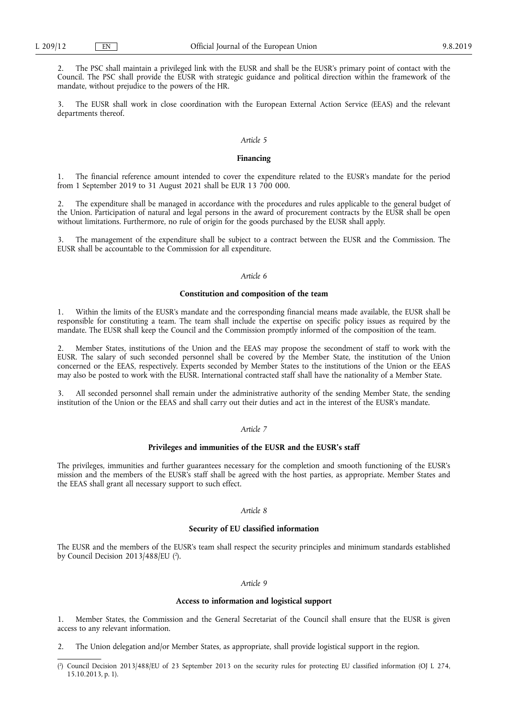2. The PSC shall maintain a privileged link with the EUSR and shall be the EUSR's primary point of contact with the Council. The PSC shall provide the EUSR with strategic guidance and political direction within the framework of the mandate, without prejudice to the powers of the HR.

3. The EUSR shall work in close coordination with the European External Action Service (EEAS) and the relevant departments thereof.

#### *Article 5*

#### **Financing**

1. The financial reference amount intended to cover the expenditure related to the EUSR's mandate for the period from 1 September 2019 to 31 August 2021 shall be EUR 13 700 000.

2. The expenditure shall be managed in accordance with the procedures and rules applicable to the general budget of the Union. Participation of natural and legal persons in the award of procurement contracts by the EUSR shall be open without limitations. Furthermore, no rule of origin for the goods purchased by the EUSR shall apply.

The management of the expenditure shall be subject to a contract between the EUSR and the Commission. The EUSR shall be accountable to the Commission for all expenditure.

## *Article 6*

#### **Constitution and composition of the team**

1. Within the limits of the EUSR's mandate and the corresponding financial means made available, the EUSR shall be responsible for constituting a team. The team shall include the expertise on specific policy issues as required by the mandate. The EUSR shall keep the Council and the Commission promptly informed of the composition of the team.

2. Member States, institutions of the Union and the EEAS may propose the secondment of staff to work with the EUSR. The salary of such seconded personnel shall be covered by the Member State, the institution of the Union concerned or the EEAS, respectively. Experts seconded by Member States to the institutions of the Union or the EEAS may also be posted to work with the EUSR. International contracted staff shall have the nationality of a Member State.

3. All seconded personnel shall remain under the administrative authority of the sending Member State, the sending institution of the Union or the EEAS and shall carry out their duties and act in the interest of the EUSR's mandate.

#### *Article 7*

#### **Privileges and immunities of the EUSR and the EUSR's staff**

The privileges, immunities and further guarantees necessary for the completion and smooth functioning of the EUSR's mission and the members of the EUSR's staff shall be agreed with the host parties, as appropriate. Member States and the EEAS shall grant all necessary support to such effect.

#### *Article 8*

## **Security of EU classified information**

The EUSR and the members of the EUSR's team shall respect the security principles and minimum standards established by Council Decision 2013/488/EU (<sup>2</sup>).

## *Article 9*

#### **Access to information and logistical support**

1. Member States, the Commission and the General Secretariat of the Council shall ensure that the EUSR is given access to any relevant information.

2. The Union delegation and/or Member States, as appropriate, shall provide logistical support in the region.

<sup>(</sup> 2 ) Council Decision 2013/488/EU of 23 September 2013 on the security rules for protecting EU classified information (OJ L 274, 15.10.2013, p. 1).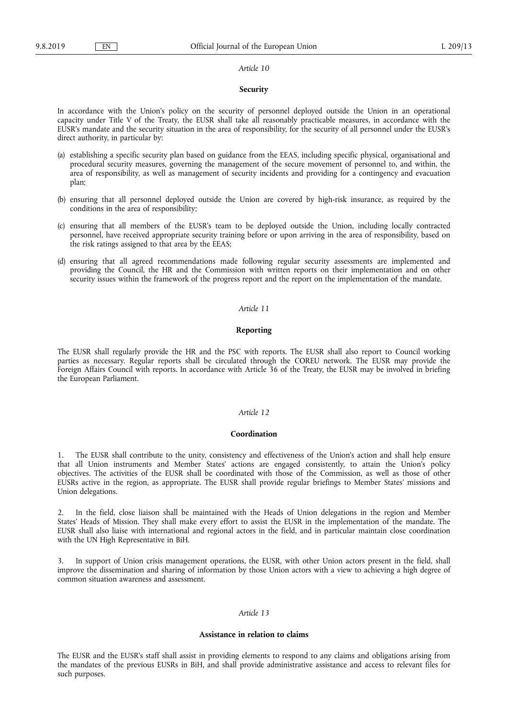#### *Article 10*

#### **Security**

In accordance with the Union's policy on the security of personnel deployed outside the Union in an operational capacity under Title V of the Treaty, the EUSR shall take all reasonably practicable measures, in accordance with the EUSR's mandate and the security situation in the area of responsibility, for the security of all personnel under the EUSR's direct authority, in particular by:

- (a) establishing a specific security plan based on guidance from the EEAS, including specific physical, organisational and procedural security measures, governing the management of the secure movement of personnel to, and within, the area of responsibility, as well as management of security incidents and providing for a contingency and evacuation plan;
- (b) ensuring that all personnel deployed outside the Union are covered by high-risk insurance, as required by the conditions in the area of responsibility;
- (c) ensuring that all members of the EUSR's team to be deployed outside the Union, including locally contracted personnel, have received appropriate security training before or upon arriving in the area of responsibility, based on the risk ratings assigned to that area by the EEAS;
- (d) ensuring that all agreed recommendations made following regular security assessments are implemented and providing the Council, the HR and the Commission with written reports on their implementation and on other security issues within the framework of the progress report and the report on the implementation of the mandate.

#### *Article 11*

## **Reporting**

The EUSR shall regularly provide the HR and the PSC with reports. The EUSR shall also report to Council working parties as necessary. Regular reports shall be circulated through the COREU network. The EUSR may provide the Foreign Affairs Council with reports. In accordance with Article 36 of the Treaty, the EUSR may be involved in briefing the European Parliament.

#### *Article 12*

#### **Coordination**

1. The EUSR shall contribute to the unity, consistency and effectiveness of the Union's action and shall help ensure that all Union instruments and Member States' actions are engaged consistently, to attain the Union's policy objectives. The activities of the EUSR shall be coordinated with those of the Commission, as well as those of other EUSRs active in the region, as appropriate. The EUSR shall provide regular briefings to Member States' missions and Union delegations.

2. In the field, close liaison shall be maintained with the Heads of Union delegations in the region and Member States' Heads of Mission. They shall make every effort to assist the EUSR in the implementation of the mandate. The EUSR shall also liaise with international and regional actors in the field, and in particular maintain close coordination with the UN High Representative in BiH.

3. In support of Union crisis management operations, the EUSR, with other Union actors present in the field, shall improve the dissemination and sharing of information by those Union actors with a view to achieving a high degree of common situation awareness and assessment.

## *Article 13*

#### **Assistance in relation to claims**

The EUSR and the EUSR's staff shall assist in providing elements to respond to any claims and obligations arising from the mandates of the previous EUSRs in BiH, and shall provide administrative assistance and access to relevant files for such purposes.